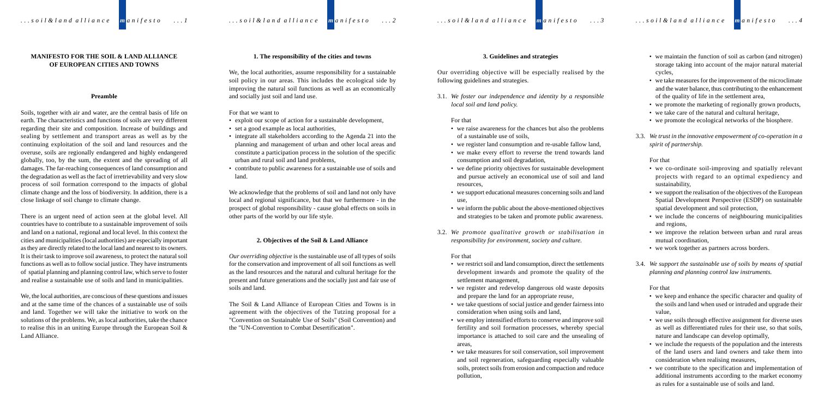# **MANIFESTO FOR THE SOIL & LAND ALLIANCE OF EUROPEAN CITIES AND TOWNS**

#### **Preamble**

Soils, together with air and water, are the central basis of life on earth. The characteristics and functions of soils are very different regarding their site and composition. Increase of buildings and sealing by settlement and transport areas as well as by the continuing exploitation of the soil and land resources and the overuse, soils are regionally endangered and highly endangered globally, too, by the sum, the extent and the spreading of all damages. The far-reaching consequences of land consumption and the degradation as well as the fact of irretrievability and very slow process of soil formation correspond to the impacts of global climate change and the loss of biodiversity. In addition, there is a close linkage of soil change to climate change.

There is an urgent need of action seen at the global level. All countries have to contribute to a sustainable improvement of soils and land on a national, regional and local level. In this context the cities and municipalities (local authorities) are especially important as they are directly related to the local land and nearest to its owners. It is their task to improve soil awareness, to protect the natural soil functions as well as to follow social justice. They have instruments of spatial planning and planning control law, which serve to foster and realise a sustainable use of soils and land in municipalities.

We, the local authorities, are conscious of these questions and issues and at the same time of the chances of a sustainable use of soils and land. Together we will take the initiative to work on the solutions of the problems. We, as local authorities, take the chance to realise this in an uniting Europe through the European Soil & Land Alliance.

# **1. The responsibility of the cities and towns**

We, the local authorities, assume responsibility for a sustainable soil policy in our areas. This includes the ecological side by improving the natural soil functions as well as an economically and socially just soil and land use.

## For that we want to

- exploit our scope of action for a sustainable development,
- set a good example as local authorities,
- integrate all stakeholders according to the Agenda 21 into the planning and management of urban and other local areas and constitute a participation process in the solution of the specific urban and rural soil and land problems,
- contribute to public awareness for a sustainable use of soils and land.

We acknowledge that the problems of soil and land not only have local and regional significance, but that we furthermore - in the prospect of global responsibility - cause global effects on soils in other parts of the world by our life style.

#### **2. Objectives of the Soil & Land Alliance**

*Our overriding objective* is the sustainable use of all types of soils for the conservation and improvement of all soil functions as well as the land resources and the natural and cultural heritage for the present and future generations and the socially just and fair use of soils and land.

The Soil & Land Alliance of European Cities and Towns is in agreement with the objectives of the Tutzing proposal for a "Convention on Sustainable Use of Soils" (Soil Convention) and the "UN-Convention to Combat Desertification".

# **3. Guidelines and strategies**

Our overriding objective will be especially realised by the following guidelines and strategies.

3.1. *We foster our independence and identity by a responsible local soil and land policy.*

#### For that

- we raise awareness for the chances but also the problems of a sustainable use of soils,
- we register land consumption and re-usable fallow land,
- we make every effort to reverse the trend towards land consumption and soil degradation,
- we define priority objectives for sustainable development and pursue actively an economical use of soil and land resources,
- we support educational measures concerning soils and land use,
- we inform the public about the above-mentioned objectives and strategies to be taken and promote public awareness.
- 3.2. *We promote qualitative growth or stabilisation in responsibility for environment, society and culture.*

# For that

- we restrict soil and land consumption, direct the settlements development inwards and promote the quality of the settlement management,
- we register and redevelop dangerous old waste deposits and prepare the land for an appropriate reuse,
- we take questions of social justice and gender fairness into consideration when using soils and land,
- we employ intensified efforts to conserve and improve soil fertility and soil formation processes, whereby special importance is attached to soil care and the unsealing of areas,
- we take measures for soil conservation, soil improvement and soil regeneration, safeguarding especially valuable soils, protect soils from erosion and compaction and reduce pollution,
- we maintain the function of soil as carbon (and nitrogen) storage taking into account of the major natural material cycles,
- we take measures for the improvement of the microclimate and the water balance, thus contributing to the enhancement of the quality of life in the settlement area,
- we promote the marketing of regionally grown products,
- we take care of the natural and cultural heritage,
- we promote the ecological networks of the biosphere.
- 3.3. *We trust in the innovative empowerment of co-operation in a spirit of partnership.*

For that

- we co-ordinate soil-improving and spatially relevant projects with regard to an optimal expediency and sustainability,
- we support the realisation of the objectives of the European Spatial Development Perspective (ESDP) on sustainable spatial development and soil protection,
- we include the concerns of neighbouring municipalities and regions,
- we improve the relation between urban and rural areas mutual coordination,
- we work together as partners across borders.
- 3.4. *We support the sustainable use of soils by means of spatial planning and planning control law instruments.*

For that

- we keep and enhance the specific character and quality of the soils and land when used or intruded and upgrade their value,
- we use soils through effective assignment for diverse uses as well as differentiated rules for their use, so that soils, nature and landscape can develop optimally,
- we include the requests of the population and the interests of the land users and land owners and take them into consideration when realising measures,
- we contribute to the specification and implementation of additional instruments according to the market economy as rules for a sustainable use of soils and land.